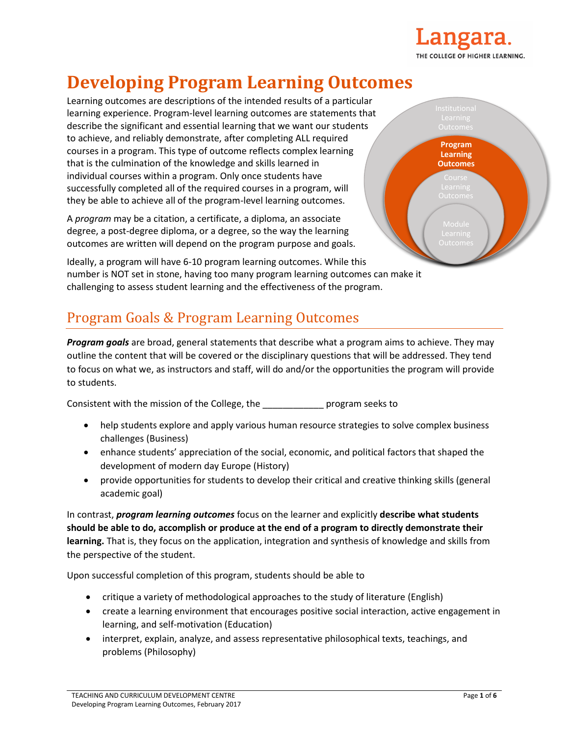

# **Developing Program Learning Outcomes**

Learning outcomes are descriptions of the intended results of a particular learning experience. Program-level learning outcomes are statements that describe the significant and essential learning that we want our students to achieve, and reliably demonstrate, after completing ALL required courses in a program. This type of outcome reflects complex learning that is the culmination of the knowledge and skills learned in individual courses within a program. Only once students have successfully completed all of the required courses in a program, will they be able to achieve all of the program-level learning outcomes.

A *program* may be a citation, a certificate, a diploma, an associate degree, a post-degree diploma, or a degree, so the way the learning outcomes are written will depend on the program purpose and goals.

**Program Learning Outcomes**  $\overline{\mathsf{Outcome}}$ 

Ideally, a program will have 6-10 program learning outcomes. While this number is NOT set in stone, having too many program learning outcomes can make it challenging to assess student learning and the effectiveness of the program.

## Program Goals & Program Learning Outcomes

*Program goals* are broad, general statements that describe what a program aims to achieve. They may outline the content that will be covered or the disciplinary questions that will be addressed. They tend to focus on what we, as instructors and staff, will do and/or the opportunities the program will provide to students.

Consistent with the mission of the College, the \_\_\_\_\_\_\_\_\_\_\_\_ program seeks to

- help students explore and apply various human resource strategies to solve complex business challenges (Business)
- enhance students' appreciation of the social, economic, and political factors that shaped the development of modern day Europe (History)
- provide opportunities for students to develop their critical and creative thinking skills (general academic goal)

In contrast, *program learning outcomes* focus on the learner and explicitly **describe what students should be able to do, accomplish or produce at the end of a program to directly demonstrate their learning.** That is, they focus on the application, integration and synthesis of knowledge and skills from the perspective of the student.

Upon successful completion of this program, students should be able to

- critique a variety of methodological approaches to the study of literature (English)
- create a learning environment that encourages positive social interaction, active engagement in learning, and self-motivation (Education)
- interpret, explain, analyze, and assess representative philosophical texts, teachings, and problems (Philosophy)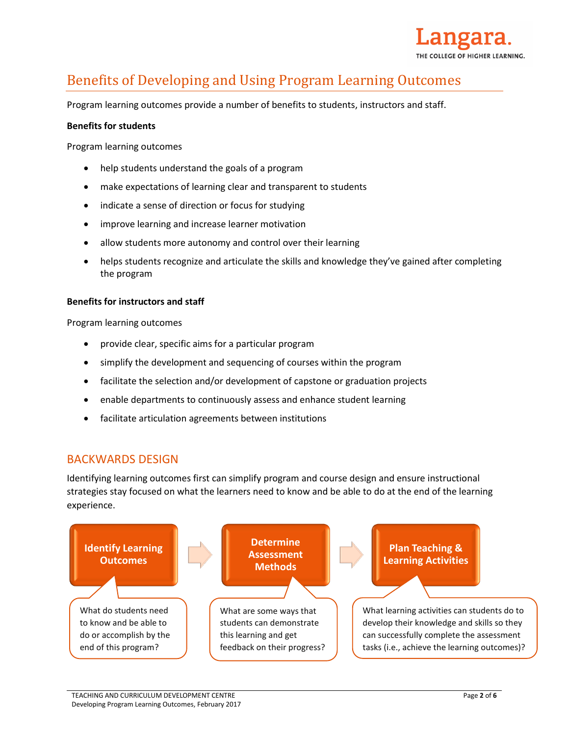

## Benefits of Developing and Using Program Learning Outcomes

Program learning outcomes provide a number of benefits to students, instructors and staff.

#### **Benefits for students**

Program learning outcomes

- help students understand the goals of a program
- make expectations of learning clear and transparent to students
- indicate a sense of direction or focus for studying
- improve learning and increase learner motivation
- allow students more autonomy and control over their learning
- helps students recognize and articulate the skills and knowledge they've gained after completing the program

#### **Benefits for instructors and staff**

Program learning outcomes

- provide clear, specific aims for a particular program
- simplify the development and sequencing of courses within the program
- facilitate the selection and/or development of capstone or graduation projects
- enable departments to continuously assess and enhance student learning
- facilitate articulation agreements between institutions

### BACKWARDS DESIGN

Identifying learning outcomes first can simplify program and course design and ensure instructional strategies stay focused on what the learners need to know and be able to do at the end of the learning experience.

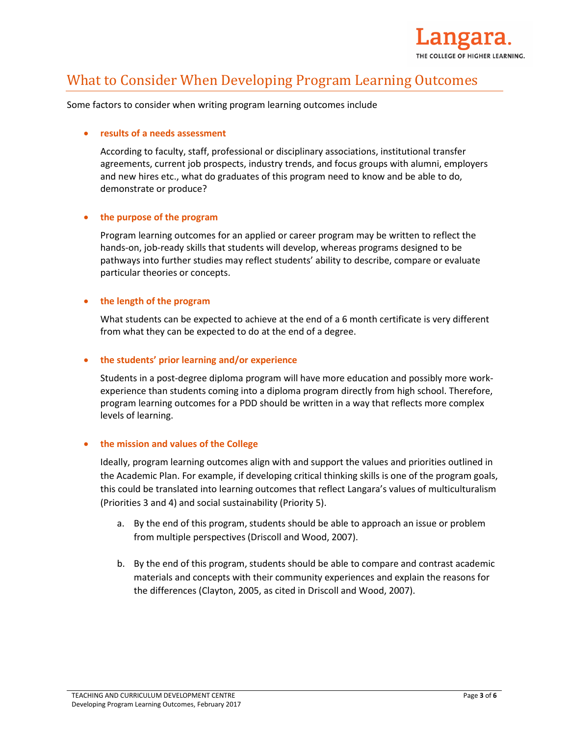

### What to Consider When Developing Program Learning Outcomes

Some factors to consider when writing program learning outcomes include

#### **results of a needs assessment**

According to faculty, staff, professional or disciplinary associations, institutional transfer agreements, current job prospects, industry trends, and focus groups with alumni, employers and new hires etc., what do graduates of this program need to know and be able to do, demonstrate or produce?

#### **the purpose of the program**

Program learning outcomes for an applied or career program may be written to reflect the hands-on, job-ready skills that students will develop, whereas programs designed to be pathways into further studies may reflect students' ability to describe, compare or evaluate particular theories or concepts.

#### **the length of the program**

What students can be expected to achieve at the end of a 6 month certificate is very different from what they can be expected to do at the end of a degree.

#### **the students' prior learning and/or experience**

Students in a post-degree diploma program will have more education and possibly more workexperience than students coming into a diploma program directly from high school. Therefore, program learning outcomes for a PDD should be written in a way that reflects more complex levels of learning.

#### **the mission and values of the College**

Ideally, program learning outcomes align with and support the values and priorities outlined in the Academic Plan. For example, if developing critical thinking skills is one of the program goals, this could be translated into learning outcomes that reflect Langara's values of multiculturalism (Priorities 3 and 4) and social sustainability (Priority 5).

- a. By the end of this program, students should be able to approach an issue or problem from multiple perspectives (Driscoll and Wood, 2007).
- b. By the end of this program, students should be able to compare and contrast academic materials and concepts with their community experiences and explain the reasons for the differences (Clayton, 2005, as cited in Driscoll and Wood, 2007).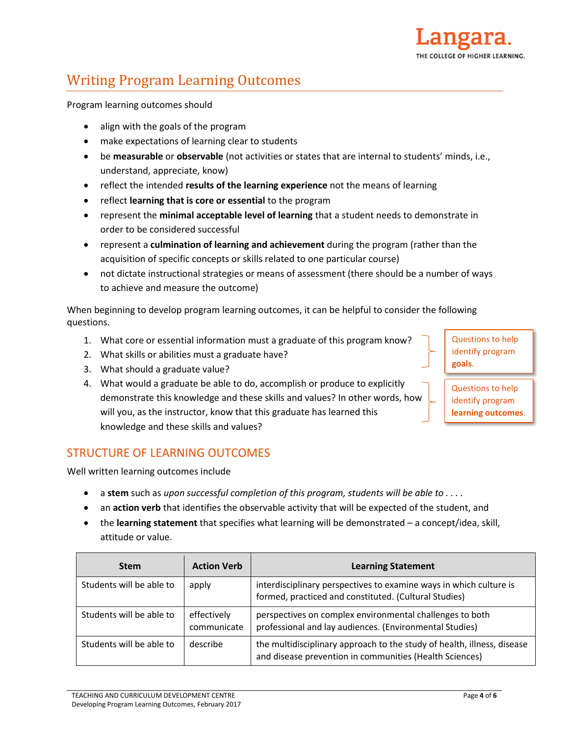

## Writing Program Learning Outcomes

Program learning outcomes should

- align with the goals of the program
- make expectations of learning clear to students
- be **measurable** or **observable** (not activities or states that are internal to students' minds, i.e., understand, appreciate, know)
- reflect the intended **results of the learning experience** not the means of learning
- reflect **learning that is core or essential** to the program
- represent the **minimal acceptable level of learning** that a student needs to demonstrate in order to be considered successful
- represent a **culmination of learning and achievement** during the program (rather than the acquisition of specific concepts or skills related to one particular course)
- not dictate instructional strategies or means of assessment (there should be a number of ways to achieve and measure the outcome)

When beginning to develop program learning outcomes, it can be helpful to consider the following questions.

- 1. What core or essential information must a graduate of this program know?
- 2. What skills or abilities must a graduate have?
- 3. What should a graduate value?
- 4. What would a graduate be able to do, accomplish or produce to explicitly demonstrate this knowledge and these skills and values? In other words, how will you, as the instructor, know that this graduate has learned this knowledge and these skills and values?

Questions to help identify program **goals**.

Questions to help identify program **learning outcomes**.

### STRUCTURE OF LEARNING OUTCOMES

Well written learning outcomes include

- a **stem** such as *upon successful completion of this program, students will be able to . . . .*
- an **action verb** that identifies the observable activity that will be expected of the student, and
- the **learning statement** that specifies what learning will be demonstrated a concept/idea, skill, attitude or value.

| <b>Stem</b>              | <b>Action Verb</b>         | <b>Learning Statement</b>                                                                                                          |  |
|--------------------------|----------------------------|------------------------------------------------------------------------------------------------------------------------------------|--|
| Students will be able to | apply                      | interdisciplinary perspectives to examine ways in which culture is<br>formed, practiced and constituted. (Cultural Studies)        |  |
| Students will be able to | effectively<br>communicate | perspectives on complex environmental challenges to both<br>professional and lay audiences. (Environmental Studies)                |  |
| Students will be able to | describe                   | the multidisciplinary approach to the study of health, illness, disease<br>and disease prevention in communities (Health Sciences) |  |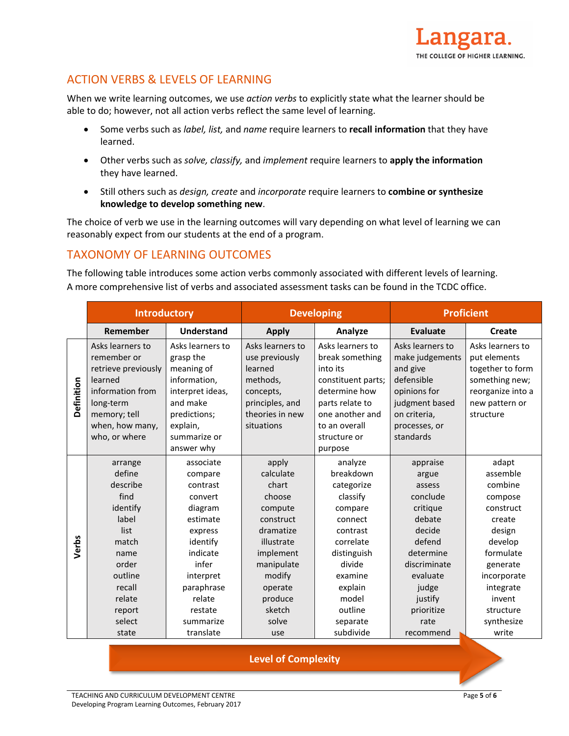

### ACTION VERBS & LEVELS OF LEARNING

When we write learning outcomes, we use *action verbs* to explicitly state what the learner should be able to do; however, not all action verbs reflect the same level of learning.

- Some verbs such as *label, list,* and *name* require learners to **recall information** that they have learned.
- Other verbs such as *solve, classify,* and *implement* require learners to **apply the information** they have learned.
- Still others such as *design, create* and *incorporate* require learners to **combine or synthesize knowledge to develop something new**.

The choice of verb we use in the learning outcomes will vary depending on what level of learning we can reasonably expect from our students at the end of a program.

### TAXONOMY OF LEARNING OUTCOMES

The following table introduces some action verbs commonly associated with different levels of learning. A more comprehensive list of verbs and associated assessment tasks can be found in the TCDC office.

|            | <b>Introductory</b>                                                                                                                                      |                                                                                                                                                                                          | <b>Developing</b>                                                                                                                                                             |                                                                                                                                                                                           | <b>Proficient</b>                                                                                                                                                                 |                                                                                                                                                                                        |
|------------|----------------------------------------------------------------------------------------------------------------------------------------------------------|------------------------------------------------------------------------------------------------------------------------------------------------------------------------------------------|-------------------------------------------------------------------------------------------------------------------------------------------------------------------------------|-------------------------------------------------------------------------------------------------------------------------------------------------------------------------------------------|-----------------------------------------------------------------------------------------------------------------------------------------------------------------------------------|----------------------------------------------------------------------------------------------------------------------------------------------------------------------------------------|
|            | Remember                                                                                                                                                 | <b>Understand</b>                                                                                                                                                                        | <b>Apply</b>                                                                                                                                                                  | Analyze                                                                                                                                                                                   | Evaluate                                                                                                                                                                          | Create                                                                                                                                                                                 |
| Definition | Asks learners to<br>remember or<br>retrieve previously<br>learned<br>information from<br>long-term<br>memory; tell<br>when, how many,<br>who, or where   | Asks learners to<br>grasp the<br>meaning of<br>information,<br>interpret ideas,<br>and make<br>predictions;<br>explain,<br>summarize or<br>answer why                                    | Asks learners to<br>use previously<br>learned<br>methods,<br>concepts,<br>principles, and<br>theories in new<br>situations                                                    | Asks learners to<br>break something<br>into its<br>constituent parts;<br>determine how<br>parts relate to<br>one another and<br>to an overall<br>structure or<br>purpose                  | Asks learners to<br>make judgements<br>and give<br>defensible<br>opinions for<br>judgment based<br>on criteria,<br>processes, or<br>standards                                     | Asks learners to<br>put elements<br>together to form<br>something new;<br>reorganize into a<br>new pattern or<br>structure                                                             |
| Verbs      | arrange<br>define<br>describe<br>find<br>identify<br>label<br>list<br>match<br>name<br>order<br>outline<br>recall<br>relate<br>report<br>select<br>state | associate<br>compare<br>contrast<br>convert<br>diagram<br>estimate<br>express<br>identify<br>indicate<br>infer<br>interpret<br>paraphrase<br>relate<br>restate<br>summarize<br>translate | apply<br>calculate<br>chart<br>choose<br>compute<br>construct<br>dramatize<br>illustrate<br>implement<br>manipulate<br>modify<br>operate<br>produce<br>sketch<br>solve<br>use | analyze<br>breakdown<br>categorize<br>classify<br>compare<br>connect<br>contrast<br>correlate<br>distinguish<br>divide<br>examine<br>explain<br>model<br>outline<br>separate<br>subdivide | appraise<br>argue<br>assess<br>conclude<br>critique<br>debate<br>decide<br>defend<br>determine<br>discriminate<br>evaluate<br>judge<br>justify<br>prioritize<br>rate<br>recommend | adapt<br>assemble<br>combine<br>compose<br>construct<br>create<br>design<br>develop<br>formulate<br>generate<br>incorporate<br>integrate<br>invent<br>structure<br>synthesize<br>write |

### **Level of Complexity**